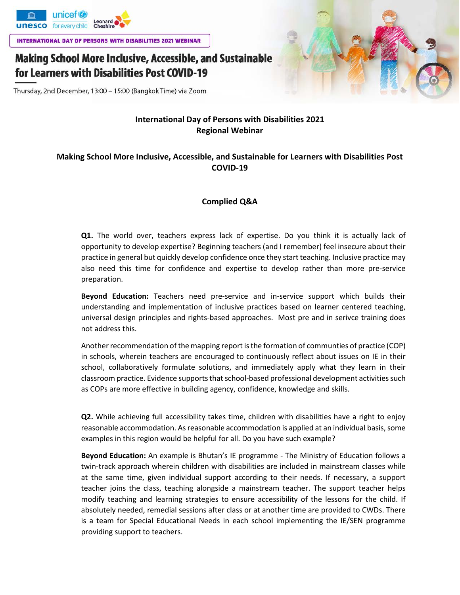

**INTERNATIONAL DAY OF PERSONS WITH DISABILITIES 2021 WEBINAR** 

## Making School More Inclusive, Accessible, and Sustainable for Learners with Disabilities Post COVID-19

Thursday, 2nd December, 13:00 - 15:00 (Bangkok Time) via Zoom

## **International Day of Persons with Disabilities 2021 Regional Webinar**

## **Making School More Inclusive, Accessible, and Sustainable for Learners with Disabilities Post COVID-19**

## **Complied Q&A**

**Q1.** The world over, teachers express lack of expertise. Do you think it is actually lack of opportunity to develop expertise? Beginning teachers (and I remember) feel insecure about their practice in general but quickly develop confidence once they start teaching. Inclusive practice may also need this time for confidence and expertise to develop rather than more pre-service preparation.

**Beyond Education:** Teachers need pre-service and in-service support which builds their understanding and implementation of inclusive practices based on learner centered teaching, universal design principles and rights-based approaches. Most pre and in serivce training does not address this.

Another recommendation of the mapping report is the formation of communties of practice (COP) in schools, wherein teachers are encouraged to continuously reflect about issues on IE in their school, collaboratively formulate solutions, and immediately apply what they learn in their classroom practice. Evidence supports that school-based professional development activities such as COPs are more effective in building agency, confidence, knowledge and skills.

**Q2.** While achieving full accessibility takes time, children with disabilities have a right to enjoy reasonable accommodation. As reasonable accommodation is applied at an individual basis, some examples in this region would be helpful for all. Do you have such example?

**Beyond Education:** An example is Bhutan's IE programme - The Ministry of Education follows a twin-track approach wherein children with disabilities are included in mainstream classes while at the same time, given individual support according to their needs. If necessary, a support teacher joins the class, teaching alongside a mainstream teacher. The support teacher helps modify teaching and learning strategies to ensure accessibility of the lessons for the child. If absolutely needed, remedial sessions after class or at another time are provided to CWDs. There is a team for Special Educational Needs in each school implementing the IE/SEN programme providing support to teachers.